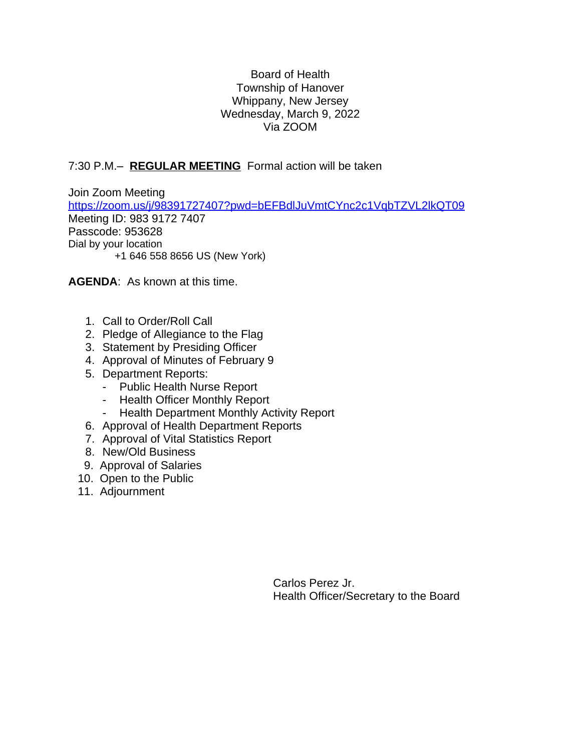## Board of Health Township of Hanover Whippany, New Jersey Wednesday, March 9, 2022 Via ZOOM

## 7:30 P.M.– **REGULAR MEETING** Formal action will be taken

Join Zoom Meeting <https://zoom.us/j/98391727407?pwd=bEFBdlJuVmtCYnc2c1VqbTZVL2lkQT09> Meeting ID: 983 9172 7407 Passcode: 953628 Dial by your location +1 646 558 8656 US (New York)

**AGENDA**: As known at this time.

- 1. Call to Order/Roll Call
- 2. Pledge of Allegiance to the Flag
- 3. Statement by Presiding Officer
- 4. Approval of Minutes of February 9
- 5. Department Reports:
	- Public Health Nurse Report
	- Health Officer Monthly Report
	- Health Department Monthly Activity Report
- 6. Approval of Health Department Reports
- 7. Approval of Vital Statistics Report
- 8. New/Old Business
- 9. Approval of Salaries
- 10. Open to the Public
- 11. Adjournment

Carlos Perez Jr. Health Officer/Secretary to the Board